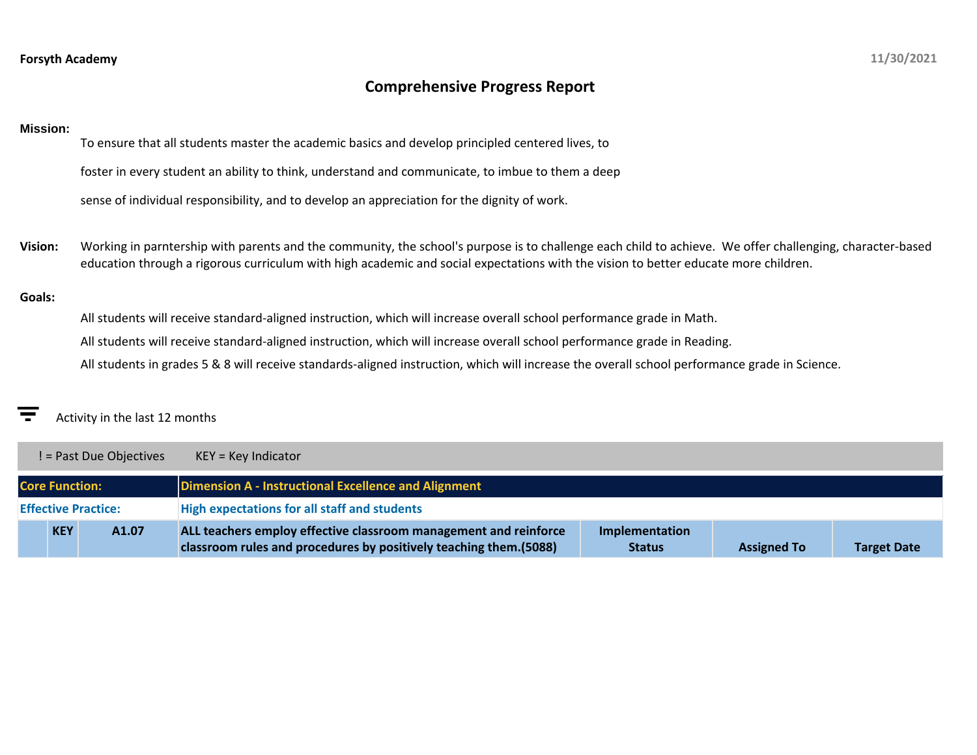# **Comprehensive Progress Report**

### **Mission:**

To ensure that all students master the academic basics and develop principled centered lives, to

foster in every student an ability to think, understand and communicate, to imbue to them a deep

sense of individual responsibility, and to develop an appreciation for the dignity of work.

**Vision:** Working in parntership with parents and the community, the school's purpose is to challenge each child to achieve. We offer challenging, character-based education through a rigorous curriculum with high academic and social expectations with the vision to better educate more children.

### **Goals:**

All students will receive standard-aligned instruction, which will increase overall school performance grade in Math.

All students will receive standard-aligned instruction, which will increase overall school performance grade in Reading.

All students in grades 5 & 8 will receive standards-aligned instruction, which will increase the overall school performance grade in Science.

## Activity in the last 12 months

|                       | ! = Past Due Objectives    | $KEY = Key Indicator$                                                                                                                  |                                 |                    |                    |
|-----------------------|----------------------------|----------------------------------------------------------------------------------------------------------------------------------------|---------------------------------|--------------------|--------------------|
| <b>Core Function:</b> |                            | Dimension A - Instructional Excellence and Alignment                                                                                   |                                 |                    |                    |
|                       | <b>Effective Practice:</b> | <b>High expectations for all staff and students</b>                                                                                    |                                 |                    |                    |
| <b>KEY</b>            | A1.07                      | ALL teachers employ effective classroom management and reinforce<br>classroom rules and procedures by positively teaching them. (5088) | Implementation<br><b>Status</b> | <b>Assigned To</b> | <b>Target Date</b> |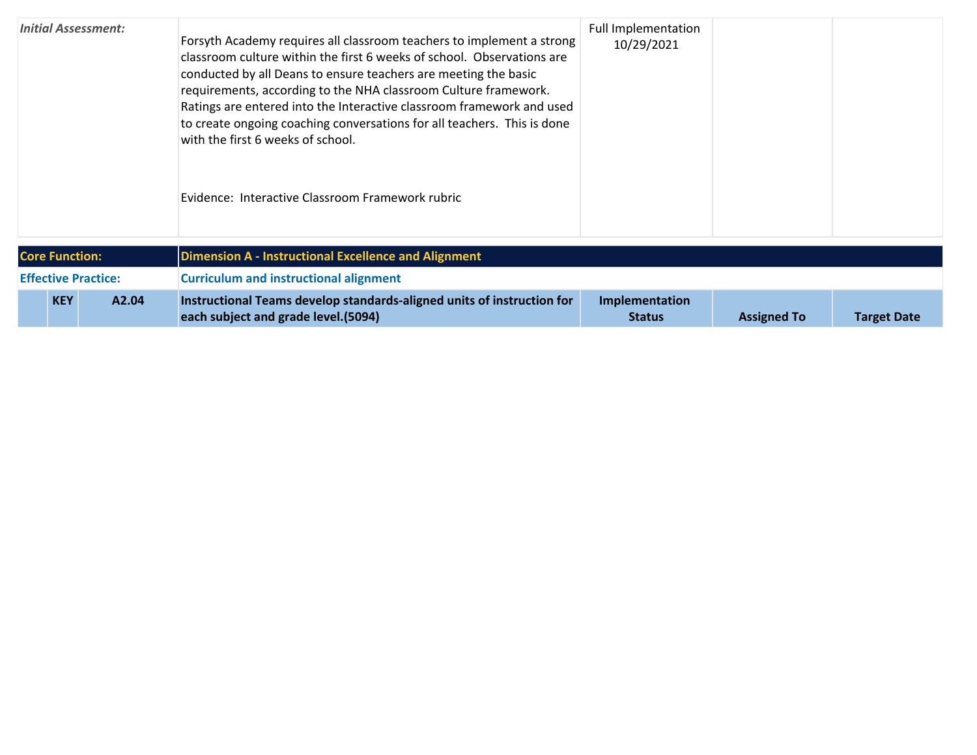| <b>Initial Assessment:</b> | Forsyth Academy requires all classroom teachers to implement a strong<br>classroom culture within the first 6 weeks of school. Observations are<br>conducted by all Deans to ensure teachers are meeting the basic<br>requirements, according to the NHA classroom Culture framework.<br>Ratings are entered into the Interactive classroom framework and used<br>to create ongoing coaching conversations for all teachers. This is done<br>with the first 6 weeks of school.<br>Evidence: Interactive Classroom Framework rubric | <b>Full Implementation</b><br>10/29/2021 |                    |                    |
|----------------------------|------------------------------------------------------------------------------------------------------------------------------------------------------------------------------------------------------------------------------------------------------------------------------------------------------------------------------------------------------------------------------------------------------------------------------------------------------------------------------------------------------------------------------------|------------------------------------------|--------------------|--------------------|
| <b>Core Function:</b>      | <b>Dimension A - Instructional Excellence and Alignment</b>                                                                                                                                                                                                                                                                                                                                                                                                                                                                        |                                          |                    |                    |
| <b>Effective Practice:</b> | <b>Curriculum and instructional alignment</b>                                                                                                                                                                                                                                                                                                                                                                                                                                                                                      |                                          |                    |                    |
| <b>KEY</b><br>A2.04        | Instructional Teams develop standards-aligned units of instruction for<br>each subject and grade level. (5094)                                                                                                                                                                                                                                                                                                                                                                                                                     | Implementation<br><b>Status</b>          | <b>Assigned To</b> | <b>Target Date</b> |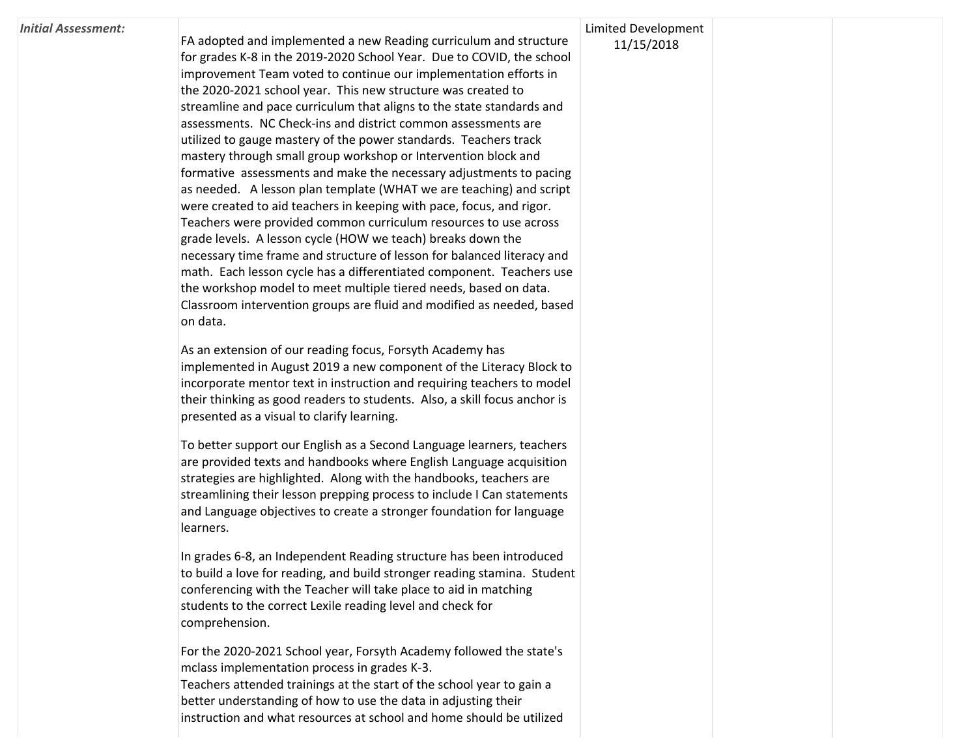#### *Initial Assessment:*

FA adopted and implemented a new Reading curriculum and structure for grades K-8 in the 2019-2020 School Year. Due to COVID, the school improvement Team voted to continue our implementation efforts in the 2020-2021 school year. This new structure was created to streamline and pace curriculum that aligns to the state standards and assessments. NC Check-ins and district common assessments are utilized to gauge mastery of the power standards. Teachers track mastery through small group workshop or Intervention block and formative assessments and make the necessary adjustments to pacing as needed. A lesson plan template (WHAT we are teaching) and script were created to aid teachers in keeping with pace, focus, and rigor. Teachers were provided common curriculum resources to use across grade levels. A lesson cycle (HOW we teach) breaks down the necessary time frame and structure of lesson for balanced literacy and math. Each lesson cycle has a differentiated component. Teachers use the workshop model to meet multiple tiered needs, based on data. Classroom intervention groups are fluid and modified as needed, based on data.

As an extension of our reading focus, Forsyth Academy has implemented in August 2019 a new component of the Literacy Block to incorporate mentor text in instruction and requiring teachers to model their thinking as good readers to students. Also, a skill focus anchor is presented as a visual to clarify learning.

To better support our English as a Second Language learners, teachers are provided texts and handbooks where English Language acquisition strategies are highlighted. Along with the handbooks, teachers are streamlining their lesson prepping process to include I Can statements and Language objectives to create a stronger foundation for language learners.

In grades 6-8, an Independent Reading structure has been introduced to build a love for reading, and build stronger reading stamina. Student conferencing with the Teacher will take place to aid in matching students to the correct Lexile reading level and check for comprehension.

For the 2020-2021 School year, Forsyth Academy followed the state's mclass implementation process in grades K-3. Teachers attended trainings at the start of the school year to gain a better understanding of how to use the data in adjusting their instruction and what resources at school and home should be utilized

### Limited Development 11/15/2018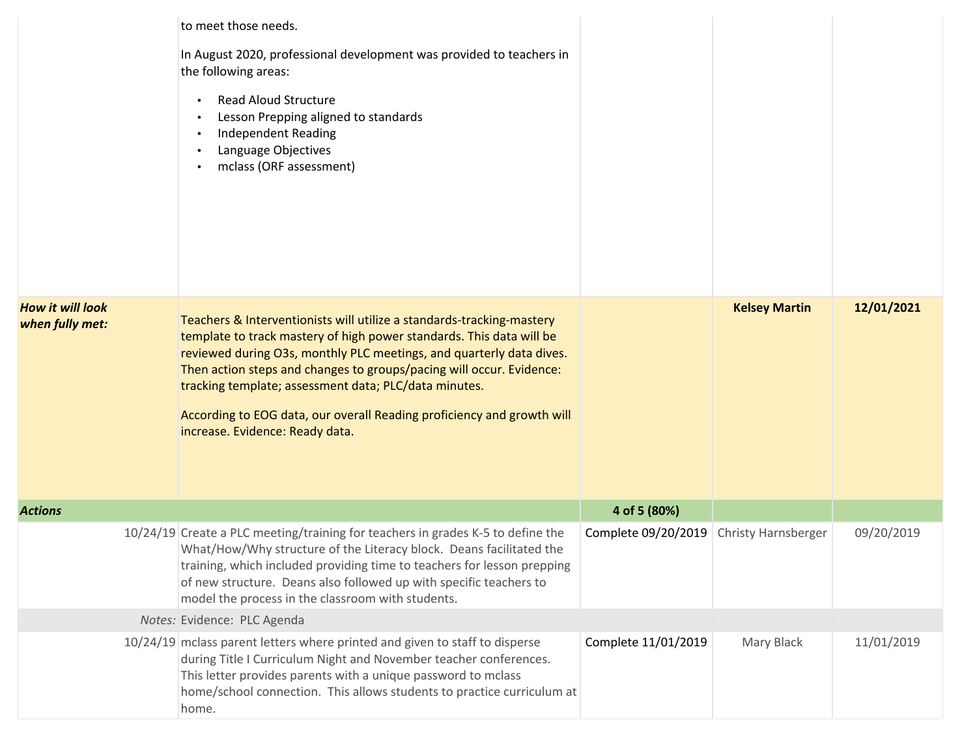|                                            | to meet those needs.<br>In August 2020, professional development was provided to teachers in<br>the following areas:<br><b>Read Aloud Structure</b><br>Lesson Prepping aligned to standards<br>$\bullet$<br><b>Independent Reading</b><br>Language Objectives<br>mclass (ORF assessment)                                                                                                                                                                            |                     |                            |            |
|--------------------------------------------|---------------------------------------------------------------------------------------------------------------------------------------------------------------------------------------------------------------------------------------------------------------------------------------------------------------------------------------------------------------------------------------------------------------------------------------------------------------------|---------------------|----------------------------|------------|
| <b>How it will look</b><br>when fully met: | Teachers & Interventionists will utilize a standards-tracking-mastery<br>template to track mastery of high power standards. This data will be<br>reviewed during O3s, monthly PLC meetings, and quarterly data dives.<br>Then action steps and changes to groups/pacing will occur. Evidence:<br>tracking template; assessment data; PLC/data minutes.<br>According to EOG data, our overall Reading proficiency and growth will<br>increase. Evidence: Ready data. |                     | <b>Kelsey Martin</b>       | 12/01/2021 |
| <b>Actions</b>                             |                                                                                                                                                                                                                                                                                                                                                                                                                                                                     | 4 of 5 (80%)        |                            |            |
|                                            | 10/24/19 Create a PLC meeting/training for teachers in grades K-5 to define the<br>What/How/Why structure of the Literacy block. Deans facilitated the<br>training, which included providing time to teachers for lesson prepping<br>of new structure. Deans also followed up with specific teachers to<br>model the process in the classroom with students.                                                                                                        | Complete 09/20/2019 | <b>Christy Harnsberger</b> | 09/20/2019 |
|                                            | Notes: Evidence: PLC Agenda                                                                                                                                                                                                                                                                                                                                                                                                                                         |                     |                            |            |
|                                            | 10/24/19 mclass parent letters where printed and given to staff to disperse<br>during Title I Curriculum Night and November teacher conferences.<br>This letter provides parents with a unique password to mclass<br>home/school connection. This allows students to practice curriculum at<br>home.                                                                                                                                                                | Complete 11/01/2019 | Mary Black                 | 11/01/2019 |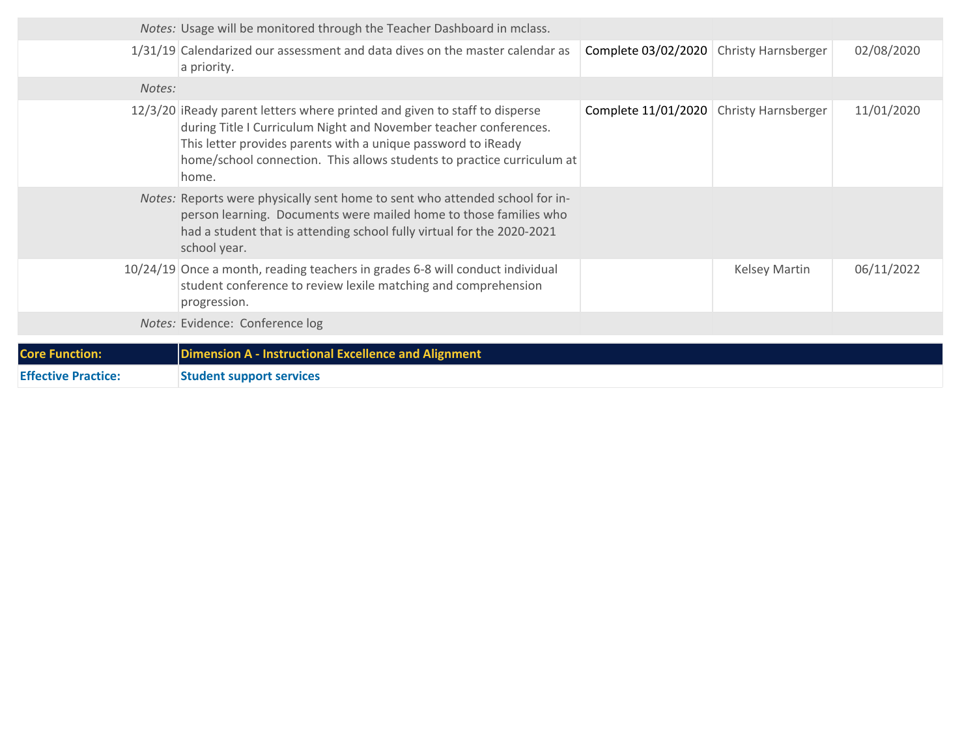|                            | Notes: Usage will be monitored through the Teacher Dashboard in mclass.                                                                                                                                                                                                                             |                     |                            |            |
|----------------------------|-----------------------------------------------------------------------------------------------------------------------------------------------------------------------------------------------------------------------------------------------------------------------------------------------------|---------------------|----------------------------|------------|
|                            | 1/31/19 Calendarized our assessment and data dives on the master calendar as<br>a priority.                                                                                                                                                                                                         | Complete 03/02/2020 | <b>Christy Harnsberger</b> | 02/08/2020 |
| Notes:                     |                                                                                                                                                                                                                                                                                                     |                     |                            |            |
|                            | 12/3/20 iReady parent letters where printed and given to staff to disperse<br>during Title I Curriculum Night and November teacher conferences.<br>This letter provides parents with a unique password to iReady<br>home/school connection. This allows students to practice curriculum at<br>home. | Complete 11/01/2020 | Christy Harnsberger        | 11/01/2020 |
|                            | Notes: Reports were physically sent home to sent who attended school for in-<br>person learning. Documents were mailed home to those families who<br>had a student that is attending school fully virtual for the 2020-2021<br>school year.                                                         |                     |                            |            |
|                            | 10/24/19 Once a month, reading teachers in grades 6-8 will conduct individual<br>student conference to review lexile matching and comprehension<br>progression.                                                                                                                                     |                     | <b>Kelsey Martin</b>       | 06/11/2022 |
|                            | Notes: Evidence: Conference log                                                                                                                                                                                                                                                                     |                     |                            |            |
| <b>Core Function:</b>      | <b>Dimension A - Instructional Excellence and Alignment</b>                                                                                                                                                                                                                                         |                     |                            |            |
| <b>Effective Practice:</b> | <b>Student support services</b>                                                                                                                                                                                                                                                                     |                     |                            |            |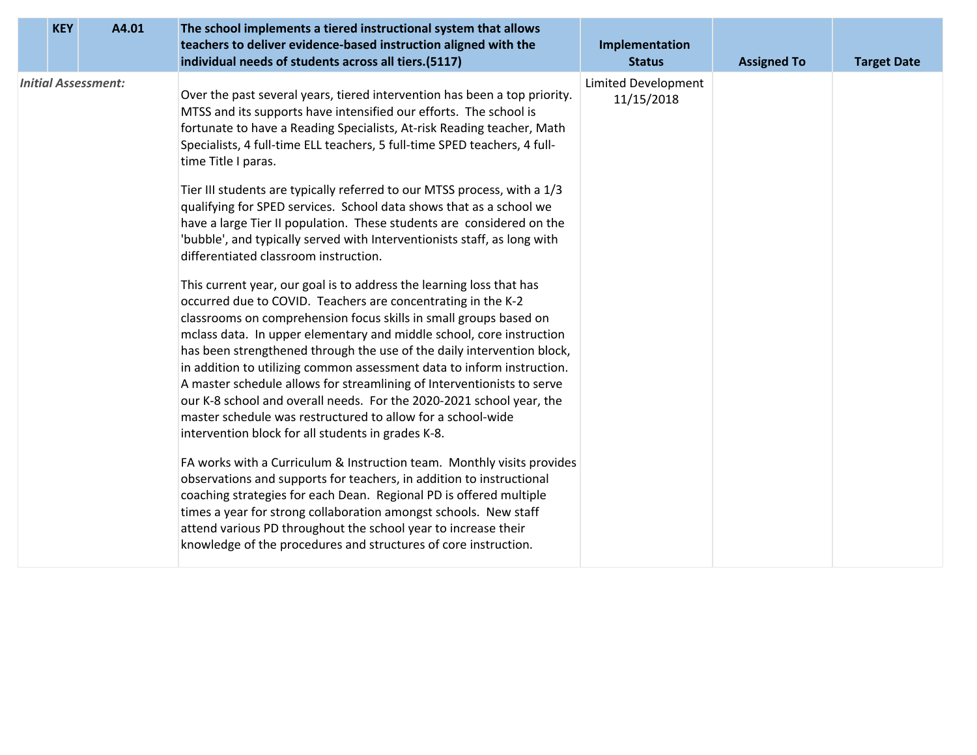| <b>KEY</b> | A4.01                      | The school implements a tiered instructional system that allows<br>teachers to deliver evidence-based instruction aligned with the<br>individual needs of students across all tiers.(5117)                                                                                                                                                                                                                                                                                                                                                                                                                                                                                                                   | Implementation<br><b>Status</b>   | <b>Assigned To</b> | <b>Target Date</b> |
|------------|----------------------------|--------------------------------------------------------------------------------------------------------------------------------------------------------------------------------------------------------------------------------------------------------------------------------------------------------------------------------------------------------------------------------------------------------------------------------------------------------------------------------------------------------------------------------------------------------------------------------------------------------------------------------------------------------------------------------------------------------------|-----------------------------------|--------------------|--------------------|
|            | <b>Initial Assessment:</b> | Over the past several years, tiered intervention has been a top priority.<br>MTSS and its supports have intensified our efforts. The school is<br>fortunate to have a Reading Specialists, At-risk Reading teacher, Math<br>Specialists, 4 full-time ELL teachers, 5 full-time SPED teachers, 4 full-<br>time Title I paras.                                                                                                                                                                                                                                                                                                                                                                                 | Limited Development<br>11/15/2018 |                    |                    |
|            |                            | Tier III students are typically referred to our MTSS process, with a 1/3<br>qualifying for SPED services. School data shows that as a school we<br>have a large Tier II population. These students are considered on the<br>'bubble', and typically served with Interventionists staff, as long with<br>differentiated classroom instruction.                                                                                                                                                                                                                                                                                                                                                                |                                   |                    |                    |
|            |                            | This current year, our goal is to address the learning loss that has<br>occurred due to COVID. Teachers are concentrating in the K-2<br>classrooms on comprehension focus skills in small groups based on<br>mclass data. In upper elementary and middle school, core instruction<br>has been strengthened through the use of the daily intervention block,<br>in addition to utilizing common assessment data to inform instruction.<br>A master schedule allows for streamlining of Interventionists to serve<br>our K-8 school and overall needs. For the 2020-2021 school year, the<br>master schedule was restructured to allow for a school-wide<br>intervention block for all students in grades K-8. |                                   |                    |                    |
|            |                            | FA works with a Curriculum & Instruction team. Monthly visits provides<br>observations and supports for teachers, in addition to instructional<br>coaching strategies for each Dean. Regional PD is offered multiple<br>times a year for strong collaboration amongst schools. New staff<br>attend various PD throughout the school year to increase their<br>knowledge of the procedures and structures of core instruction.                                                                                                                                                                                                                                                                                |                                   |                    |                    |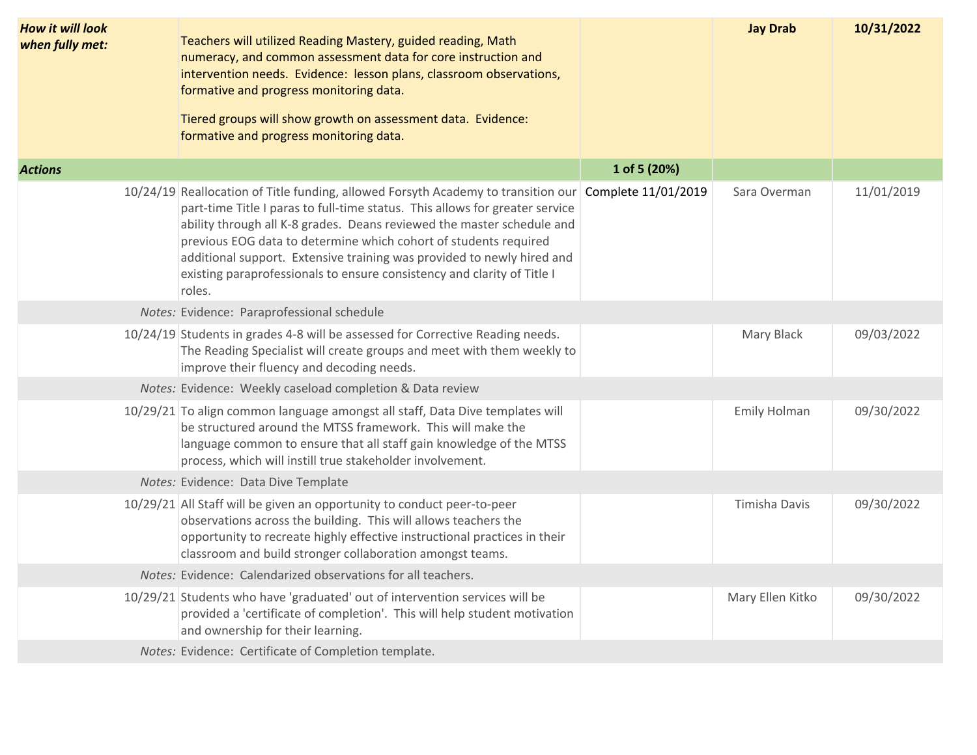| 1 of 5 (20%)<br>10/24/19 Reallocation of Title funding, allowed Forsyth Academy to transition our Complete 11/01/2019<br>11/01/2019<br>Sara Overman<br>part-time Title I paras to full-time status. This allows for greater service<br>ability through all K-8 grades. Deans reviewed the master schedule and<br>previous EOG data to determine which cohort of students required<br>additional support. Extensive training was provided to newly hired and<br>existing paraprofessionals to ensure consistency and clarity of Title I<br>roles.<br>Notes: Evidence: Paraprofessional schedule<br>10/24/19 Students in grades 4-8 will be assessed for Corrective Reading needs.<br>Mary Black<br>09/03/2022<br>The Reading Specialist will create groups and meet with them weekly to<br>improve their fluency and decoding needs.<br>Notes: Evidence: Weekly caseload completion & Data review<br>10/29/21 To align common language amongst all staff, Data Dive templates will<br>Emily Holman<br>09/30/2022<br>be structured around the MTSS framework. This will make the<br>language common to ensure that all staff gain knowledge of the MTSS<br>process, which will instill true stakeholder involvement.<br>Notes: Evidence: Data Dive Template<br>10/29/21 All Staff will be given an opportunity to conduct peer-to-peer<br>Timisha Davis<br>09/30/2022<br>observations across the building. This will allows teachers the<br>opportunity to recreate highly effective instructional practices in their<br>classroom and build stronger collaboration amongst teams.<br>Notes: Evidence: Calendarized observations for all teachers.<br>Mary Ellen Kitko<br>09/30/2022<br>10/29/21 Students who have 'graduated' out of intervention services will be<br>provided a 'certificate of completion'. This will help student motivation<br>and ownership for their learning.<br>Notes: Evidence: Certificate of Completion template. | <b>How it will look</b><br>when fully met: | Teachers will utilized Reading Mastery, guided reading, Math<br>numeracy, and common assessment data for core instruction and<br>intervention needs. Evidence: lesson plans, classroom observations,<br>formative and progress monitoring data.<br>Tiered groups will show growth on assessment data. Evidence:<br>formative and progress monitoring data. | <b>Jay Drab</b> | 10/31/2022 |
|---------------------------------------------------------------------------------------------------------------------------------------------------------------------------------------------------------------------------------------------------------------------------------------------------------------------------------------------------------------------------------------------------------------------------------------------------------------------------------------------------------------------------------------------------------------------------------------------------------------------------------------------------------------------------------------------------------------------------------------------------------------------------------------------------------------------------------------------------------------------------------------------------------------------------------------------------------------------------------------------------------------------------------------------------------------------------------------------------------------------------------------------------------------------------------------------------------------------------------------------------------------------------------------------------------------------------------------------------------------------------------------------------------------------------------------------------------------------------------------------------------------------------------------------------------------------------------------------------------------------------------------------------------------------------------------------------------------------------------------------------------------------------------------------------------------------------------------------------------------------------------------------------------------------------------------------|--------------------------------------------|------------------------------------------------------------------------------------------------------------------------------------------------------------------------------------------------------------------------------------------------------------------------------------------------------------------------------------------------------------|-----------------|------------|
|                                                                                                                                                                                                                                                                                                                                                                                                                                                                                                                                                                                                                                                                                                                                                                                                                                                                                                                                                                                                                                                                                                                                                                                                                                                                                                                                                                                                                                                                                                                                                                                                                                                                                                                                                                                                                                                                                                                                             | <b>Actions</b>                             |                                                                                                                                                                                                                                                                                                                                                            |                 |            |
|                                                                                                                                                                                                                                                                                                                                                                                                                                                                                                                                                                                                                                                                                                                                                                                                                                                                                                                                                                                                                                                                                                                                                                                                                                                                                                                                                                                                                                                                                                                                                                                                                                                                                                                                                                                                                                                                                                                                             |                                            |                                                                                                                                                                                                                                                                                                                                                            |                 |            |
|                                                                                                                                                                                                                                                                                                                                                                                                                                                                                                                                                                                                                                                                                                                                                                                                                                                                                                                                                                                                                                                                                                                                                                                                                                                                                                                                                                                                                                                                                                                                                                                                                                                                                                                                                                                                                                                                                                                                             |                                            |                                                                                                                                                                                                                                                                                                                                                            |                 |            |
|                                                                                                                                                                                                                                                                                                                                                                                                                                                                                                                                                                                                                                                                                                                                                                                                                                                                                                                                                                                                                                                                                                                                                                                                                                                                                                                                                                                                                                                                                                                                                                                                                                                                                                                                                                                                                                                                                                                                             |                                            |                                                                                                                                                                                                                                                                                                                                                            |                 |            |
|                                                                                                                                                                                                                                                                                                                                                                                                                                                                                                                                                                                                                                                                                                                                                                                                                                                                                                                                                                                                                                                                                                                                                                                                                                                                                                                                                                                                                                                                                                                                                                                                                                                                                                                                                                                                                                                                                                                                             |                                            |                                                                                                                                                                                                                                                                                                                                                            |                 |            |
|                                                                                                                                                                                                                                                                                                                                                                                                                                                                                                                                                                                                                                                                                                                                                                                                                                                                                                                                                                                                                                                                                                                                                                                                                                                                                                                                                                                                                                                                                                                                                                                                                                                                                                                                                                                                                                                                                                                                             |                                            |                                                                                                                                                                                                                                                                                                                                                            |                 |            |
|                                                                                                                                                                                                                                                                                                                                                                                                                                                                                                                                                                                                                                                                                                                                                                                                                                                                                                                                                                                                                                                                                                                                                                                                                                                                                                                                                                                                                                                                                                                                                                                                                                                                                                                                                                                                                                                                                                                                             |                                            |                                                                                                                                                                                                                                                                                                                                                            |                 |            |
|                                                                                                                                                                                                                                                                                                                                                                                                                                                                                                                                                                                                                                                                                                                                                                                                                                                                                                                                                                                                                                                                                                                                                                                                                                                                                                                                                                                                                                                                                                                                                                                                                                                                                                                                                                                                                                                                                                                                             |                                            |                                                                                                                                                                                                                                                                                                                                                            |                 |            |
|                                                                                                                                                                                                                                                                                                                                                                                                                                                                                                                                                                                                                                                                                                                                                                                                                                                                                                                                                                                                                                                                                                                                                                                                                                                                                                                                                                                                                                                                                                                                                                                                                                                                                                                                                                                                                                                                                                                                             |                                            |                                                                                                                                                                                                                                                                                                                                                            |                 |            |
|                                                                                                                                                                                                                                                                                                                                                                                                                                                                                                                                                                                                                                                                                                                                                                                                                                                                                                                                                                                                                                                                                                                                                                                                                                                                                                                                                                                                                                                                                                                                                                                                                                                                                                                                                                                                                                                                                                                                             |                                            |                                                                                                                                                                                                                                                                                                                                                            |                 |            |
|                                                                                                                                                                                                                                                                                                                                                                                                                                                                                                                                                                                                                                                                                                                                                                                                                                                                                                                                                                                                                                                                                                                                                                                                                                                                                                                                                                                                                                                                                                                                                                                                                                                                                                                                                                                                                                                                                                                                             |                                            |                                                                                                                                                                                                                                                                                                                                                            |                 |            |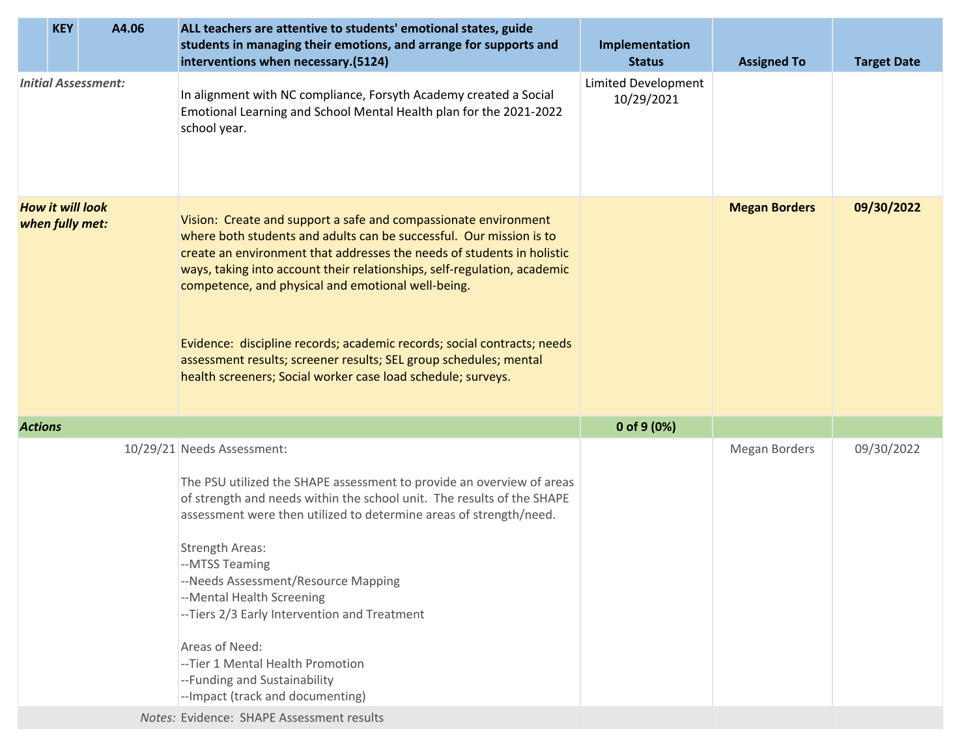|                | <b>KEY</b>                                 | A4.06                      | ALL teachers are attentive to students' emotional states, guide<br>students in managing their emotions, and arrange for supports and<br>interventions when necessary.(5124)                                                                                                                                                                                                                                                                                                                                                                                        | Implementation<br><b>Status</b>          | <b>Assigned To</b>   | <b>Target Date</b> |
|----------------|--------------------------------------------|----------------------------|--------------------------------------------------------------------------------------------------------------------------------------------------------------------------------------------------------------------------------------------------------------------------------------------------------------------------------------------------------------------------------------------------------------------------------------------------------------------------------------------------------------------------------------------------------------------|------------------------------------------|----------------------|--------------------|
|                |                                            | <b>Initial Assessment:</b> | In alignment with NC compliance, Forsyth Academy created a Social<br>Emotional Learning and School Mental Health plan for the 2021-2022<br>school year.                                                                                                                                                                                                                                                                                                                                                                                                            | <b>Limited Development</b><br>10/29/2021 |                      |                    |
|                | <b>How it will look</b><br>when fully met: |                            | Vision: Create and support a safe and compassionate environment<br>where both students and adults can be successful. Our mission is to<br>create an environment that addresses the needs of students in holistic<br>ways, taking into account their relationships, self-regulation, academic<br>competence, and physical and emotional well-being.<br>Evidence: discipline records; academic records; social contracts; needs<br>assessment results; screener results; SEL group schedules; mental<br>health screeners; Social worker case load schedule; surveys. |                                          | <b>Megan Borders</b> | 09/30/2022         |
| <b>Actions</b> |                                            |                            |                                                                                                                                                                                                                                                                                                                                                                                                                                                                                                                                                                    | 0 of $9(0%)$                             |                      |                    |
|                |                                            |                            | 10/29/21 Needs Assessment:<br>The PSU utilized the SHAPE assessment to provide an overview of areas<br>of strength and needs within the school unit. The results of the SHAPE<br>assessment were then utilized to determine areas of strength/need.<br><b>Strength Areas:</b><br>--MTSS Teaming<br>--Needs Assessment/Resource Mapping<br>--Mental Health Screening<br>--Tiers 2/3 Early Intervention and Treatment<br>Areas of Need:<br>--Tier 1 Mental Health Promotion<br>--Funding and Sustainability<br>--Impact (track and documenting)                      |                                          | <b>Megan Borders</b> | 09/30/2022         |
|                |                                            |                            | Notes: Evidence: SHAPE Assessment results                                                                                                                                                                                                                                                                                                                                                                                                                                                                                                                          |                                          |                      |                    |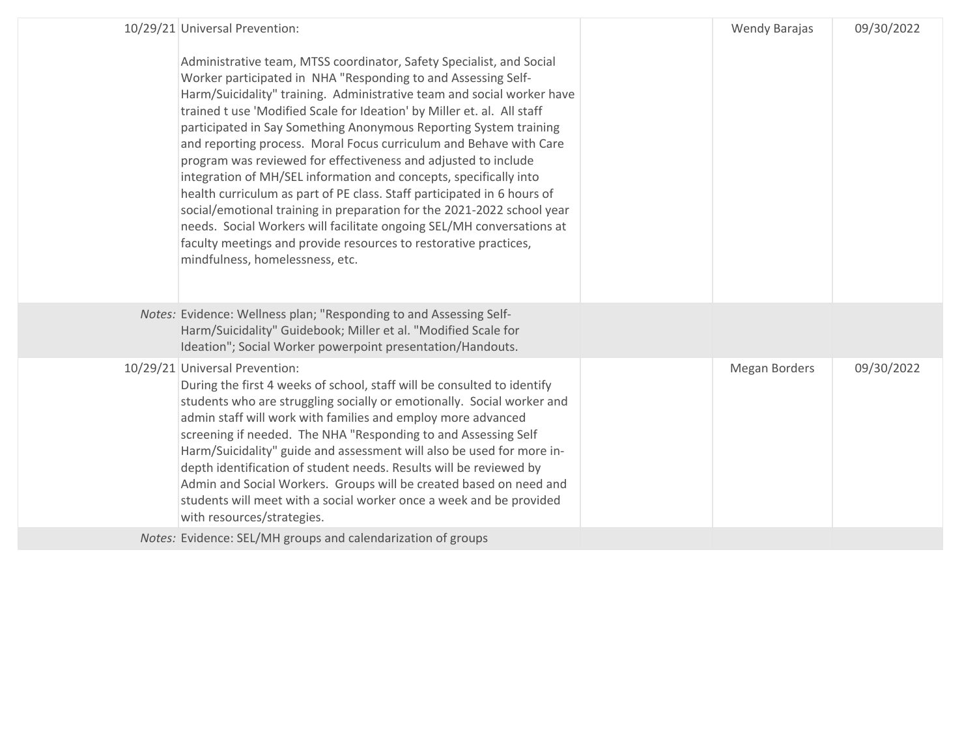| 10/29/21 Universal Prevention:<br>Administrative team, MTSS coordinator, Safety Specialist, and Social<br>Worker participated in NHA "Responding to and Assessing Self-<br>Harm/Suicidality" training. Administrative team and social worker have<br>trained t use 'Modified Scale for Ideation' by Miller et. al. All staff<br>participated in Say Something Anonymous Reporting System training<br>and reporting process. Moral Focus curriculum and Behave with Care<br>program was reviewed for effectiveness and adjusted to include<br>integration of MH/SEL information and concepts, specifically into<br>health curriculum as part of PE class. Staff participated in 6 hours of<br>social/emotional training in preparation for the 2021-2022 school year<br>needs. Social Workers will facilitate ongoing SEL/MH conversations at<br>faculty meetings and provide resources to restorative practices,<br>mindfulness, homelessness, etc. | <b>Wendy Barajas</b> | 09/30/2022 |
|-----------------------------------------------------------------------------------------------------------------------------------------------------------------------------------------------------------------------------------------------------------------------------------------------------------------------------------------------------------------------------------------------------------------------------------------------------------------------------------------------------------------------------------------------------------------------------------------------------------------------------------------------------------------------------------------------------------------------------------------------------------------------------------------------------------------------------------------------------------------------------------------------------------------------------------------------------|----------------------|------------|
| Notes: Evidence: Wellness plan; "Responding to and Assessing Self-<br>Harm/Suicidality" Guidebook; Miller et al. "Modified Scale for<br>Ideation"; Social Worker powerpoint presentation/Handouts.                                                                                                                                                                                                                                                                                                                                                                                                                                                                                                                                                                                                                                                                                                                                                  |                      |            |
| 10/29/21 Universal Prevention:<br>During the first 4 weeks of school, staff will be consulted to identify<br>students who are struggling socially or emotionally. Social worker and<br>admin staff will work with families and employ more advanced<br>screening if needed. The NHA "Responding to and Assessing Self<br>Harm/Suicidality" guide and assessment will also be used for more in-<br>depth identification of student needs. Results will be reviewed by<br>Admin and Social Workers. Groups will be created based on need and<br>students will meet with a social worker once a week and be provided<br>with resources/strategies.                                                                                                                                                                                                                                                                                                     | Megan Borders        | 09/30/2022 |
| Notes: Evidence: SEL/MH groups and calendarization of groups                                                                                                                                                                                                                                                                                                                                                                                                                                                                                                                                                                                                                                                                                                                                                                                                                                                                                        |                      |            |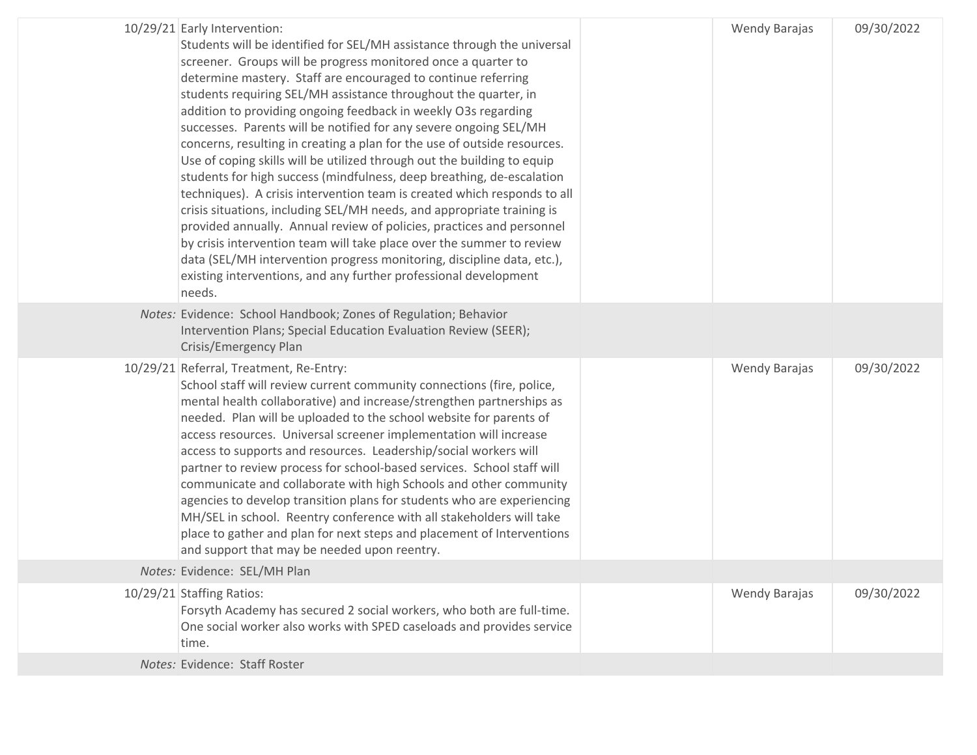| 10/29/21 Early Intervention:<br>Students will be identified for SEL/MH assistance through the universal<br>screener. Groups will be progress monitored once a quarter to<br>determine mastery. Staff are encouraged to continue referring<br>students requiring SEL/MH assistance throughout the quarter, in<br>addition to providing ongoing feedback in weekly O3s regarding<br>successes. Parents will be notified for any severe ongoing SEL/MH<br>concerns, resulting in creating a plan for the use of outside resources.<br>Use of coping skills will be utilized through out the building to equip<br>students for high success (mindfulness, deep breathing, de-escalation<br>techniques). A crisis intervention team is created which responds to all<br>crisis situations, including SEL/MH needs, and appropriate training is<br>provided annually. Annual review of policies, practices and personnel<br>by crisis intervention team will take place over the summer to review<br>data (SEL/MH intervention progress monitoring, discipline data, etc.),<br>existing interventions, and any further professional development<br>needs. | <b>Wendy Barajas</b> | 09/30/2022 |
|-----------------------------------------------------------------------------------------------------------------------------------------------------------------------------------------------------------------------------------------------------------------------------------------------------------------------------------------------------------------------------------------------------------------------------------------------------------------------------------------------------------------------------------------------------------------------------------------------------------------------------------------------------------------------------------------------------------------------------------------------------------------------------------------------------------------------------------------------------------------------------------------------------------------------------------------------------------------------------------------------------------------------------------------------------------------------------------------------------------------------------------------------------|----------------------|------------|
| Notes: Evidence: School Handbook; Zones of Regulation; Behavior<br>Intervention Plans; Special Education Evaluation Review (SEER);<br>Crisis/Emergency Plan                                                                                                                                                                                                                                                                                                                                                                                                                                                                                                                                                                                                                                                                                                                                                                                                                                                                                                                                                                                         |                      |            |
| 10/29/21 Referral, Treatment, Re-Entry:<br>School staff will review current community connections (fire, police,<br>mental health collaborative) and increase/strengthen partnerships as<br>needed. Plan will be uploaded to the school website for parents of<br>access resources. Universal screener implementation will increase<br>access to supports and resources. Leadership/social workers will<br>partner to review process for school-based services. School staff will<br>communicate and collaborate with high Schools and other community<br>agencies to develop transition plans for students who are experiencing<br>MH/SEL in school. Reentry conference with all stakeholders will take<br>place to gather and plan for next steps and placement of Interventions<br>and support that may be needed upon reentry.                                                                                                                                                                                                                                                                                                                  | Wendy Barajas        | 09/30/2022 |
| Notes: Evidence: SEL/MH Plan                                                                                                                                                                                                                                                                                                                                                                                                                                                                                                                                                                                                                                                                                                                                                                                                                                                                                                                                                                                                                                                                                                                        |                      |            |
| 10/29/21 Staffing Ratios:<br>Forsyth Academy has secured 2 social workers, who both are full-time.<br>One social worker also works with SPED caseloads and provides service<br>time.                                                                                                                                                                                                                                                                                                                                                                                                                                                                                                                                                                                                                                                                                                                                                                                                                                                                                                                                                                | Wendy Barajas        | 09/30/2022 |
| Notes: Evidence: Staff Roster                                                                                                                                                                                                                                                                                                                                                                                                                                                                                                                                                                                                                                                                                                                                                                                                                                                                                                                                                                                                                                                                                                                       |                      |            |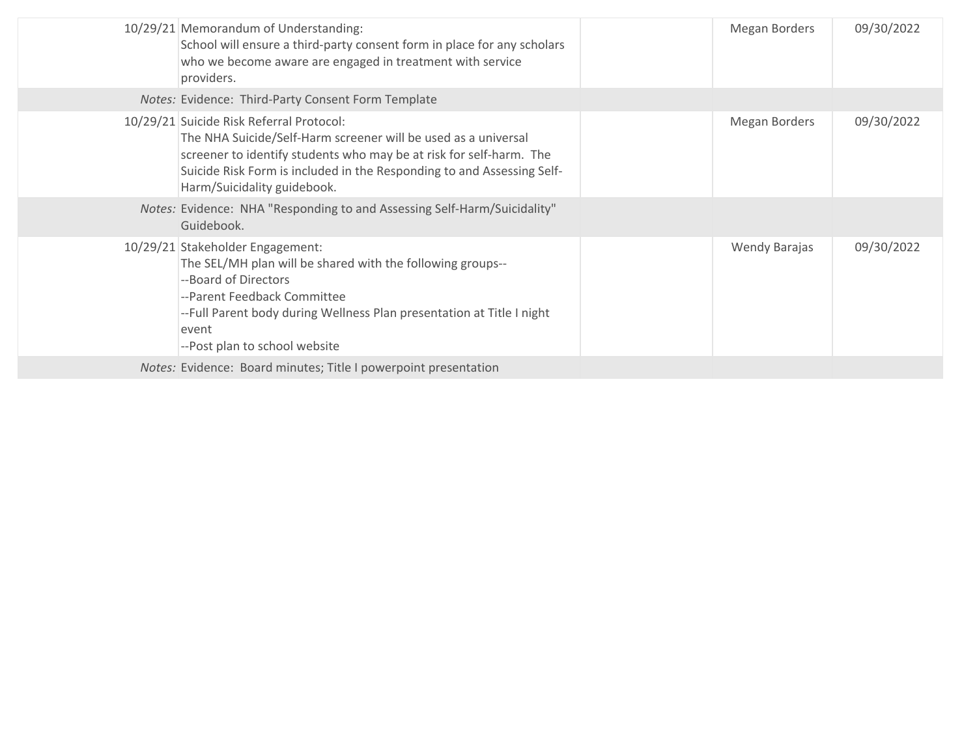| 10/29/21 Memorandum of Understanding:<br>School will ensure a third-party consent form in place for any scholars<br>who we become aware are engaged in treatment with service<br>providers.                                                                                                | Megan Borders | 09/30/2022 |
|--------------------------------------------------------------------------------------------------------------------------------------------------------------------------------------------------------------------------------------------------------------------------------------------|---------------|------------|
| Notes: Evidence: Third-Party Consent Form Template                                                                                                                                                                                                                                         |               |            |
| 10/29/21 Suicide Risk Referral Protocol:<br>The NHA Suicide/Self-Harm screener will be used as a universal<br>screener to identify students who may be at risk for self-harm. The<br>Suicide Risk Form is included in the Responding to and Assessing Self-<br>Harm/Suicidality guidebook. | Megan Borders | 09/30/2022 |
| Notes: Evidence: NHA "Responding to and Assessing Self-Harm/Suicidality"<br>Guidebook.                                                                                                                                                                                                     |               |            |
| 10/29/21 Stakeholder Engagement:<br>The SEL/MH plan will be shared with the following groups--<br>--Board of Directors<br>--Parent Feedback Committee<br>--Full Parent body during Wellness Plan presentation at Title I night<br>event<br>--Post plan to school website                   | Wendy Barajas | 09/30/2022 |
| Notes: Evidence: Board minutes; Title I powerpoint presentation                                                                                                                                                                                                                            |               |            |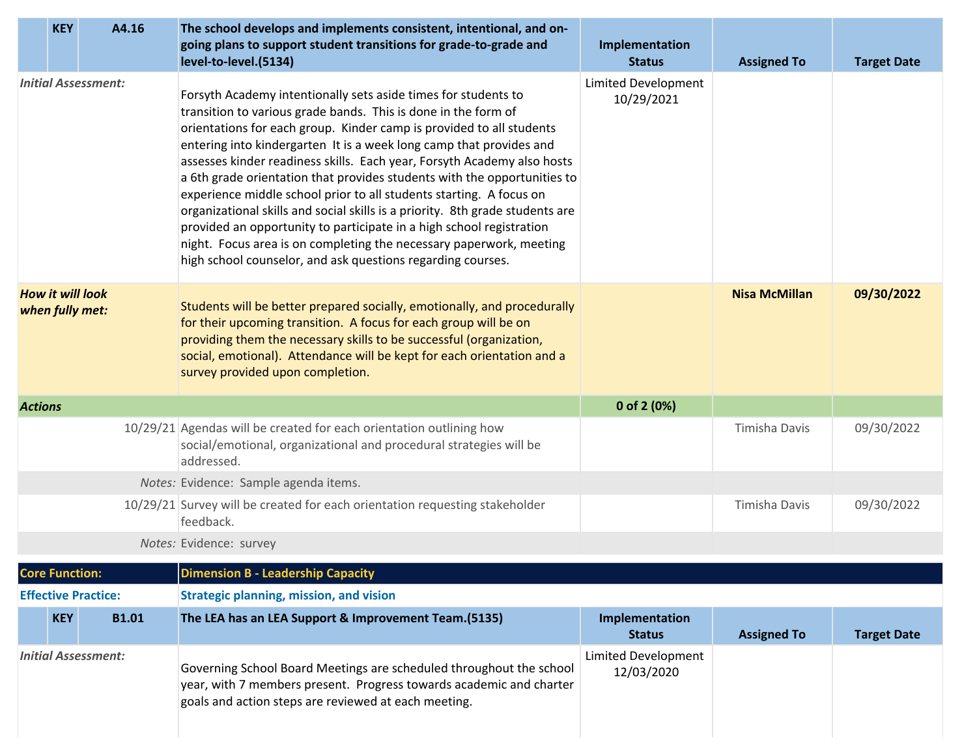|                | <b>KEY</b>                                 | A4.16                      | The school develops and implements consistent, intentional, and on-<br>going plans to support student transitions for grade-to-grade and<br>level-to-level.(5134)                                                                                                                                                                                                                                                                                                                                                                                                                                                                                                                                                                                                                                            | Implementation<br><b>Status</b>          | <b>Assigned To</b>   | <b>Target Date</b> |
|----------------|--------------------------------------------|----------------------------|--------------------------------------------------------------------------------------------------------------------------------------------------------------------------------------------------------------------------------------------------------------------------------------------------------------------------------------------------------------------------------------------------------------------------------------------------------------------------------------------------------------------------------------------------------------------------------------------------------------------------------------------------------------------------------------------------------------------------------------------------------------------------------------------------------------|------------------------------------------|----------------------|--------------------|
|                |                                            | <b>Initial Assessment:</b> | Forsyth Academy intentionally sets aside times for students to<br>transition to various grade bands. This is done in the form of<br>orientations for each group. Kinder camp is provided to all students<br>entering into kindergarten It is a week long camp that provides and<br>assesses kinder readiness skills. Each year, Forsyth Academy also hosts<br>a 6th grade orientation that provides students with the opportunities to<br>experience middle school prior to all students starting. A focus on<br>organizational skills and social skills is a priority. 8th grade students are<br>provided an opportunity to participate in a high school registration<br>night. Focus area is on completing the necessary paperwork, meeting<br>high school counselor, and ask questions regarding courses. | Limited Development<br>10/29/2021        |                      |                    |
|                | <b>How it will look</b><br>when fully met: |                            | Students will be better prepared socially, emotionally, and procedurally<br>for their upcoming transition. A focus for each group will be on<br>providing them the necessary skills to be successful (organization,<br>social, emotional). Attendance will be kept for each orientation and a<br>survey provided upon completion.                                                                                                                                                                                                                                                                                                                                                                                                                                                                            |                                          | <b>Nisa McMillan</b> | 09/30/2022         |
| <b>Actions</b> |                                            |                            |                                                                                                                                                                                                                                                                                                                                                                                                                                                                                                                                                                                                                                                                                                                                                                                                              | 0 of 2 (0%)                              |                      |                    |
|                |                                            |                            | 10/29/21 Agendas will be created for each orientation outlining how<br>social/emotional, organizational and procedural strategies will be<br>addressed.                                                                                                                                                                                                                                                                                                                                                                                                                                                                                                                                                                                                                                                      |                                          | Timisha Davis        | 09/30/2022         |
|                |                                            |                            | Notes: Evidence: Sample agenda items.                                                                                                                                                                                                                                                                                                                                                                                                                                                                                                                                                                                                                                                                                                                                                                        |                                          |                      |                    |
|                |                                            |                            | 10/29/21 Survey will be created for each orientation requesting stakeholder<br>feedback.                                                                                                                                                                                                                                                                                                                                                                                                                                                                                                                                                                                                                                                                                                                     |                                          | Timisha Davis        | 09/30/2022         |
|                |                                            |                            | Notes: Evidence: survey                                                                                                                                                                                                                                                                                                                                                                                                                                                                                                                                                                                                                                                                                                                                                                                      |                                          |                      |                    |
|                | <b>Core Function:</b>                      |                            | <b>Dimension B - Leadership Capacity</b>                                                                                                                                                                                                                                                                                                                                                                                                                                                                                                                                                                                                                                                                                                                                                                     |                                          |                      |                    |
|                |                                            | <b>Effective Practice:</b> | <b>Strategic planning, mission, and vision</b>                                                                                                                                                                                                                                                                                                                                                                                                                                                                                                                                                                                                                                                                                                                                                               |                                          |                      |                    |
|                | <b>KEY</b>                                 | <b>B1.01</b>               | The LEA has an LEA Support & Improvement Team.(5135)                                                                                                                                                                                                                                                                                                                                                                                                                                                                                                                                                                                                                                                                                                                                                         | Implementation<br><b>Status</b>          | <b>Assigned To</b>   | <b>Target Date</b> |
|                |                                            | <b>Initial Assessment:</b> | Governing School Board Meetings are scheduled throughout the school<br>year, with 7 members present. Progress towards academic and charter<br>goals and action steps are reviewed at each meeting.                                                                                                                                                                                                                                                                                                                                                                                                                                                                                                                                                                                                           | <b>Limited Development</b><br>12/03/2020 |                      |                    |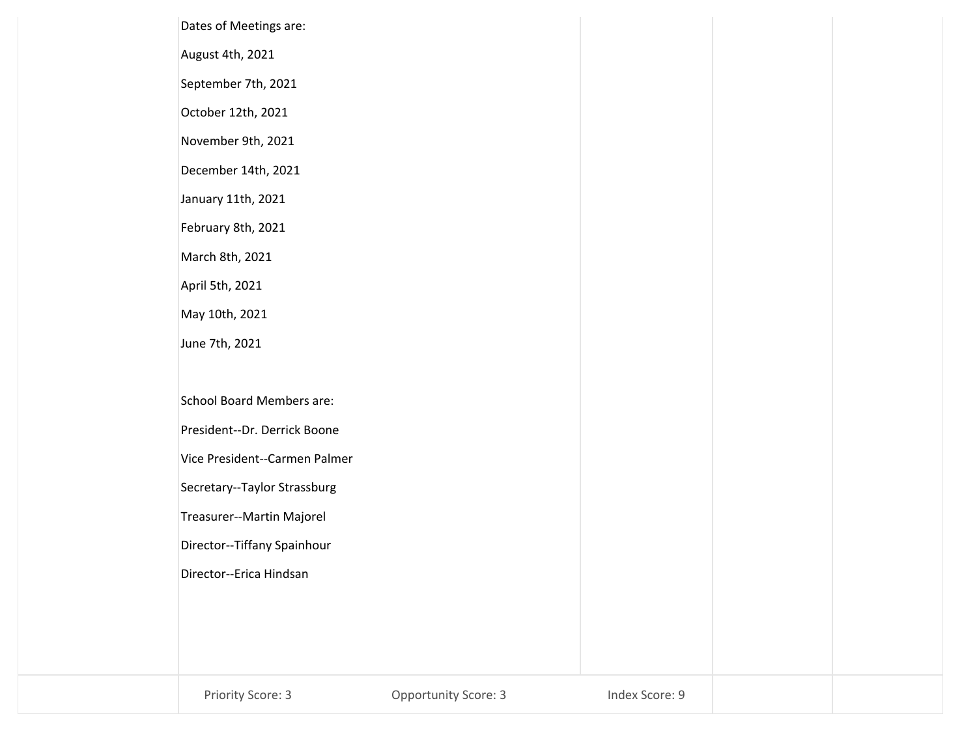| Secretary--Taylor Strassburg<br>Treasurer--Martin Majorel<br>Director--Tiffany Spainhour |                                                            |  |  |
|------------------------------------------------------------------------------------------|------------------------------------------------------------|--|--|
|                                                                                          |                                                            |  |  |
|                                                                                          |                                                            |  |  |
|                                                                                          |                                                            |  |  |
| Vice President--Carmen Palmer                                                            |                                                            |  |  |
| President--Dr. Derrick Boone                                                             |                                                            |  |  |
| <b>School Board Members are:</b>                                                         |                                                            |  |  |
|                                                                                          |                                                            |  |  |
|                                                                                          |                                                            |  |  |
| April 5th, 2021                                                                          |                                                            |  |  |
| March 8th, 2021                                                                          |                                                            |  |  |
| February 8th, 2021                                                                       |                                                            |  |  |
| January 11th, 2021                                                                       |                                                            |  |  |
| December 14th, 2021                                                                      |                                                            |  |  |
| November 9th, 2021                                                                       |                                                            |  |  |
| October 12th, 2021                                                                       |                                                            |  |  |
| September 7th, 2021                                                                      |                                                            |  |  |
| August 4th, 2021                                                                         |                                                            |  |  |
|                                                                                          | Dates of Meetings are:<br>May 10th, 2021<br>June 7th, 2021 |  |  |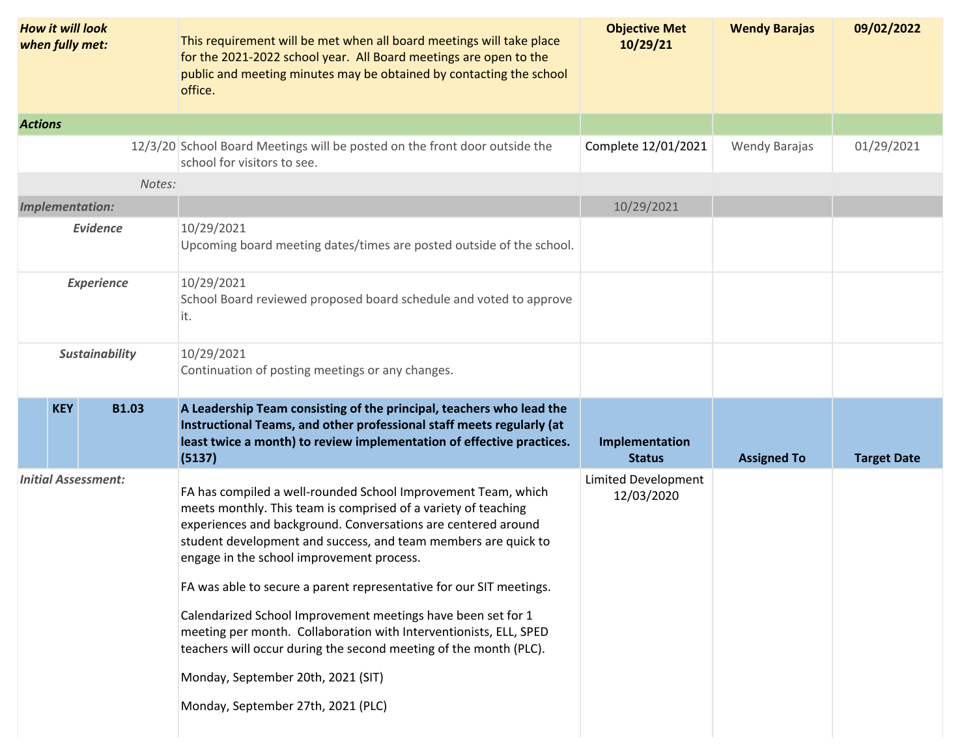| <b>How it will look</b><br>when fully met: | This requirement will be met when all board meetings will take place<br>for the 2021-2022 school year. All Board meetings are open to the<br>public and meeting minutes may be obtained by contacting the school<br>office.                                                                                                                                                                                                                                                                                                                                                                                                                                                  | <b>Objective Met</b><br>10/29/21  | <b>Wendy Barajas</b> | 09/02/2022         |
|--------------------------------------------|------------------------------------------------------------------------------------------------------------------------------------------------------------------------------------------------------------------------------------------------------------------------------------------------------------------------------------------------------------------------------------------------------------------------------------------------------------------------------------------------------------------------------------------------------------------------------------------------------------------------------------------------------------------------------|-----------------------------------|----------------------|--------------------|
| <b>Actions</b>                             |                                                                                                                                                                                                                                                                                                                                                                                                                                                                                                                                                                                                                                                                              |                                   |                      |                    |
|                                            | 12/3/20 School Board Meetings will be posted on the front door outside the<br>school for visitors to see.                                                                                                                                                                                                                                                                                                                                                                                                                                                                                                                                                                    | Complete 12/01/2021               | <b>Wendy Barajas</b> | 01/29/2021         |
| Notes:                                     |                                                                                                                                                                                                                                                                                                                                                                                                                                                                                                                                                                                                                                                                              |                                   |                      |                    |
| <b>Implementation:</b>                     |                                                                                                                                                                                                                                                                                                                                                                                                                                                                                                                                                                                                                                                                              | 10/29/2021                        |                      |                    |
| <b>Evidence</b>                            | 10/29/2021<br>Upcoming board meeting dates/times are posted outside of the school.                                                                                                                                                                                                                                                                                                                                                                                                                                                                                                                                                                                           |                                   |                      |                    |
| <b>Experience</b>                          | 10/29/2021<br>School Board reviewed proposed board schedule and voted to approve<br>it.                                                                                                                                                                                                                                                                                                                                                                                                                                                                                                                                                                                      |                                   |                      |                    |
| <b>Sustainability</b>                      | 10/29/2021<br>Continuation of posting meetings or any changes.                                                                                                                                                                                                                                                                                                                                                                                                                                                                                                                                                                                                               |                                   |                      |                    |
| <b>B1.03</b><br><b>KEY</b>                 | A Leadership Team consisting of the principal, teachers who lead the<br>Instructional Teams, and other professional staff meets regularly (at<br>least twice a month) to review implementation of effective practices.<br>(5137)                                                                                                                                                                                                                                                                                                                                                                                                                                             | Implementation<br><b>Status</b>   | <b>Assigned To</b>   | <b>Target Date</b> |
| <b>Initial Assessment:</b>                 | FA has compiled a well-rounded School Improvement Team, which<br>meets monthly. This team is comprised of a variety of teaching<br>experiences and background. Conversations are centered around<br>student development and success, and team members are quick to<br>engage in the school improvement process.<br>FA was able to secure a parent representative for our SIT meetings.<br>Calendarized School Improvement meetings have been set for 1<br>meeting per month. Collaboration with Interventionists, ELL, SPED<br>teachers will occur during the second meeting of the month (PLC).<br>Monday, September 20th, 2021 (SIT)<br>Monday, September 27th, 2021 (PLC) | Limited Development<br>12/03/2020 |                      |                    |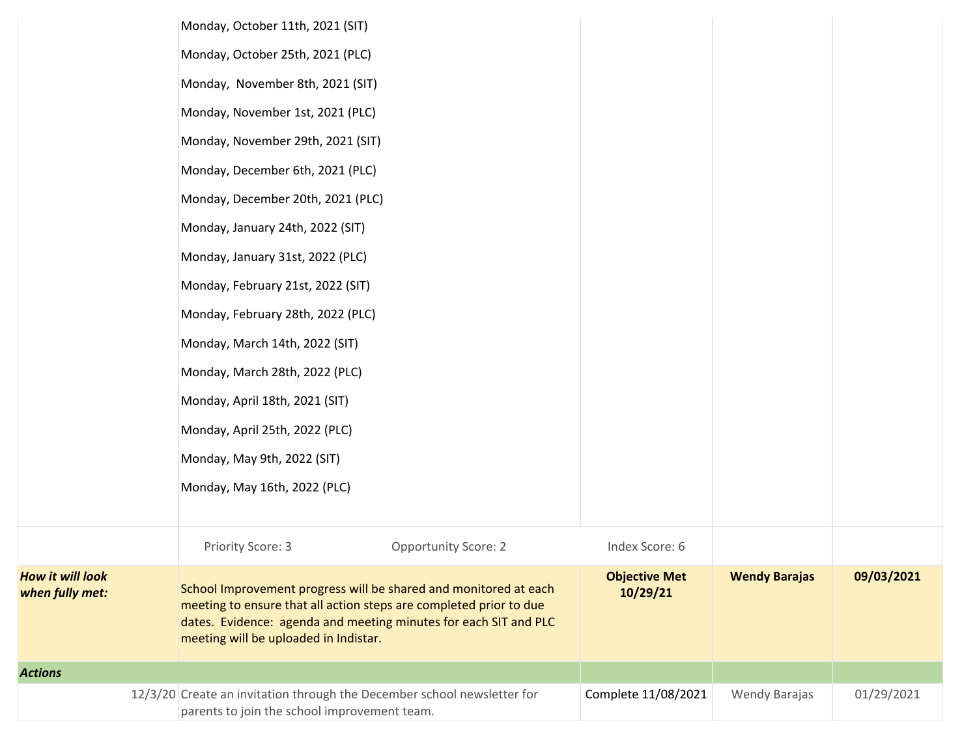|                                     | Monday, October 11th, 2021 (SIT)             |                                                                                                                                                                                                            |                                  |                      |            |
|-------------------------------------|----------------------------------------------|------------------------------------------------------------------------------------------------------------------------------------------------------------------------------------------------------------|----------------------------------|----------------------|------------|
|                                     | Monday, October 25th, 2021 (PLC)             |                                                                                                                                                                                                            |                                  |                      |            |
|                                     | Monday, November 8th, 2021 (SIT)             |                                                                                                                                                                                                            |                                  |                      |            |
|                                     | Monday, November 1st, 2021 (PLC)             |                                                                                                                                                                                                            |                                  |                      |            |
|                                     | Monday, November 29th, 2021 (SIT)            |                                                                                                                                                                                                            |                                  |                      |            |
|                                     | Monday, December 6th, 2021 (PLC)             |                                                                                                                                                                                                            |                                  |                      |            |
|                                     | Monday, December 20th, 2021 (PLC)            |                                                                                                                                                                                                            |                                  |                      |            |
|                                     | Monday, January 24th, 2022 (SIT)             |                                                                                                                                                                                                            |                                  |                      |            |
|                                     | Monday, January 31st, 2022 (PLC)             |                                                                                                                                                                                                            |                                  |                      |            |
|                                     | Monday, February 21st, 2022 (SIT)            |                                                                                                                                                                                                            |                                  |                      |            |
|                                     | Monday, February 28th, 2022 (PLC)            |                                                                                                                                                                                                            |                                  |                      |            |
|                                     | Monday, March 14th, 2022 (SIT)               |                                                                                                                                                                                                            |                                  |                      |            |
|                                     | Monday, March 28th, 2022 (PLC)               |                                                                                                                                                                                                            |                                  |                      |            |
|                                     | Monday, April 18th, 2021 (SIT)               |                                                                                                                                                                                                            |                                  |                      |            |
|                                     | Monday, April 25th, 2022 (PLC)               |                                                                                                                                                                                                            |                                  |                      |            |
|                                     | Monday, May 9th, 2022 (SIT)                  |                                                                                                                                                                                                            |                                  |                      |            |
|                                     | Monday, May 16th, 2022 (PLC)                 |                                                                                                                                                                                                            |                                  |                      |            |
|                                     |                                              |                                                                                                                                                                                                            |                                  |                      |            |
|                                     | Priority Score: 3                            | <b>Opportunity Score: 2</b>                                                                                                                                                                                | Index Score: 6                   |                      |            |
| How it will look<br>when fully met: | meeting will be uploaded in Indistar.        | School Improvement progress will be shared and monitored at each<br>meeting to ensure that all action steps are completed prior to due<br>dates. Evidence: agenda and meeting minutes for each SIT and PLC | <b>Objective Met</b><br>10/29/21 | <b>Wendy Barajas</b> | 09/03/2021 |
| <b>Actions</b>                      |                                              |                                                                                                                                                                                                            |                                  |                      |            |
|                                     | parents to join the school improvement team. | 12/3/20 Create an invitation through the December school newsletter for                                                                                                                                    | Complete 11/08/2021              | Wendy Barajas        | 01/29/2021 |
|                                     |                                              |                                                                                                                                                                                                            |                                  |                      |            |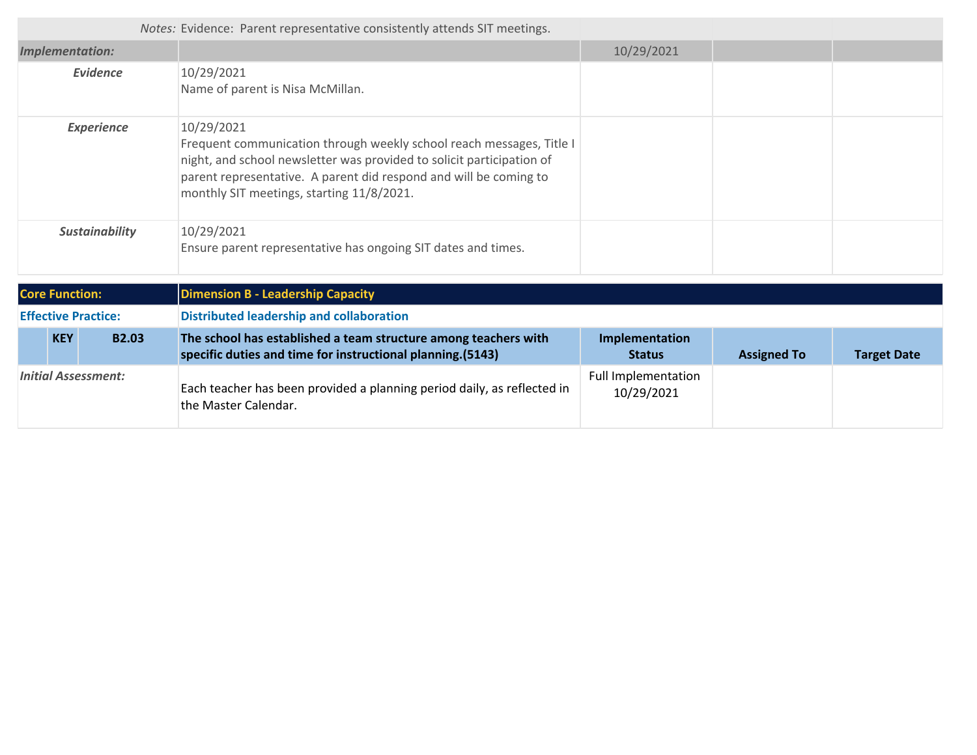|                            | Notes: Evidence: Parent representative consistently attends SIT meetings.                                                                                                                                                                                                     |                                   |                    |                    |
|----------------------------|-------------------------------------------------------------------------------------------------------------------------------------------------------------------------------------------------------------------------------------------------------------------------------|-----------------------------------|--------------------|--------------------|
| <b>Implementation:</b>     |                                                                                                                                                                                                                                                                               | 10/29/2021                        |                    |                    |
| <b>Evidence</b>            | 10/29/2021<br>Name of parent is Nisa McMillan.                                                                                                                                                                                                                                |                                   |                    |                    |
| <b>Experience</b>          | 10/29/2021<br>Frequent communication through weekly school reach messages, Title I<br>night, and school newsletter was provided to solicit participation of<br>parent representative. A parent did respond and will be coming to<br>monthly SIT meetings, starting 11/8/2021. |                                   |                    |                    |
| <b>Sustainability</b>      | 10/29/2021<br>Ensure parent representative has ongoing SIT dates and times.                                                                                                                                                                                                   |                                   |                    |                    |
| <b>Core Function:</b>      | <b>Dimension B - Leadership Capacity</b>                                                                                                                                                                                                                                      |                                   |                    |                    |
| <b>Effective Practice:</b> | <b>Distributed leadership and collaboration</b>                                                                                                                                                                                                                               |                                   |                    |                    |
| <b>KEY</b><br><b>B2.03</b> | The school has established a team structure among teachers with<br>specific duties and time for instructional planning.(5143)                                                                                                                                                 | Implementation<br><b>Status</b>   | <b>Assigned To</b> | <b>Target Date</b> |
| <b>Initial Assessment:</b> | Each teacher has been provided a planning period daily, as reflected in<br>the Master Calendar.                                                                                                                                                                               | Full Implementation<br>10/29/2021 |                    |                    |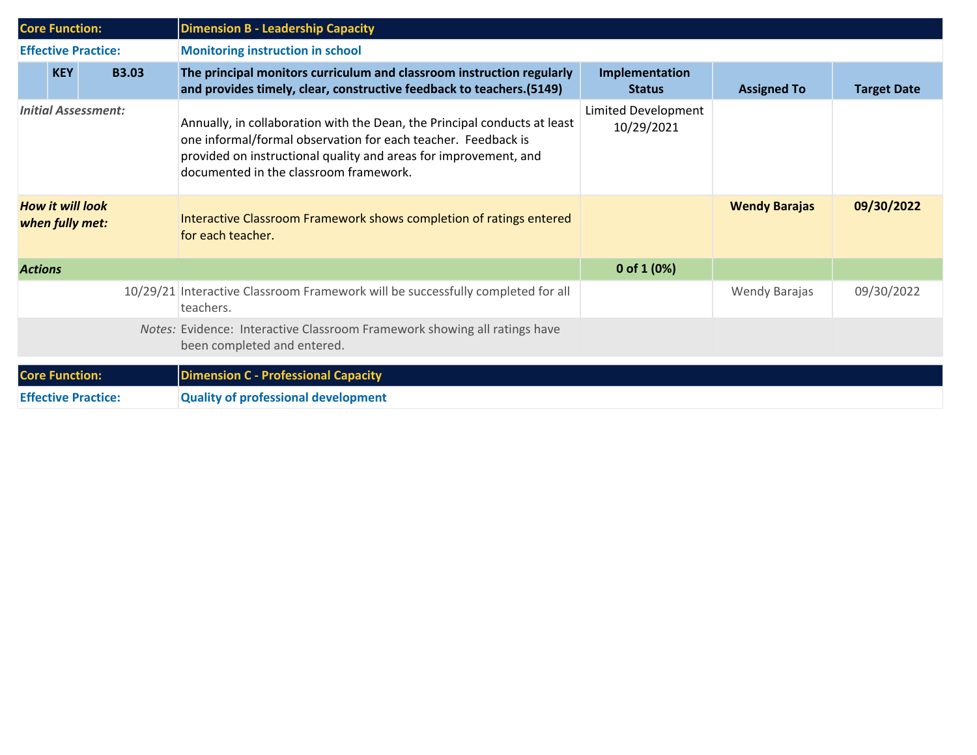| <b>Core Function:</b>                      |              | <b>Dimension B - Leadership Capacity</b>                                                                                                                                                                                                                 |                                   |                      |                    |
|--------------------------------------------|--------------|----------------------------------------------------------------------------------------------------------------------------------------------------------------------------------------------------------------------------------------------------------|-----------------------------------|----------------------|--------------------|
| <b>Effective Practice:</b>                 |              | <b>Monitoring instruction in school</b>                                                                                                                                                                                                                  |                                   |                      |                    |
| <b>KEY</b>                                 | <b>B3.03</b> | The principal monitors curriculum and classroom instruction regularly<br>and provides timely, clear, constructive feedback to teachers. (5149)                                                                                                           | Implementation<br><b>Status</b>   | <b>Assigned To</b>   | <b>Target Date</b> |
| <b>Initial Assessment:</b>                 |              | Annually, in collaboration with the Dean, the Principal conducts at least<br>one informal/formal observation for each teacher. Feedback is<br>provided on instructional quality and areas for improvement, and<br>documented in the classroom framework. | Limited Development<br>10/29/2021 |                      |                    |
| <b>How it will look</b><br>when fully met: |              | Interactive Classroom Framework shows completion of ratings entered<br>for each teacher.                                                                                                                                                                 |                                   | <b>Wendy Barajas</b> | 09/30/2022         |
| <b>Actions</b>                             |              |                                                                                                                                                                                                                                                          | 0 of $1(0%)$                      |                      |                    |
|                                            |              | 10/29/21 Interactive Classroom Framework will be successfully completed for all<br>teachers.                                                                                                                                                             |                                   | Wendy Barajas        | 09/30/2022         |
|                                            |              | Notes: Evidence: Interactive Classroom Framework showing all ratings have<br>been completed and entered.                                                                                                                                                 |                                   |                      |                    |
| <b>Core Function:</b>                      |              | <b>Dimension C - Professional Capacity</b>                                                                                                                                                                                                               |                                   |                      |                    |
| <b>Effective Practice:</b>                 |              | <b>Quality of professional development</b>                                                                                                                                                                                                               |                                   |                      |                    |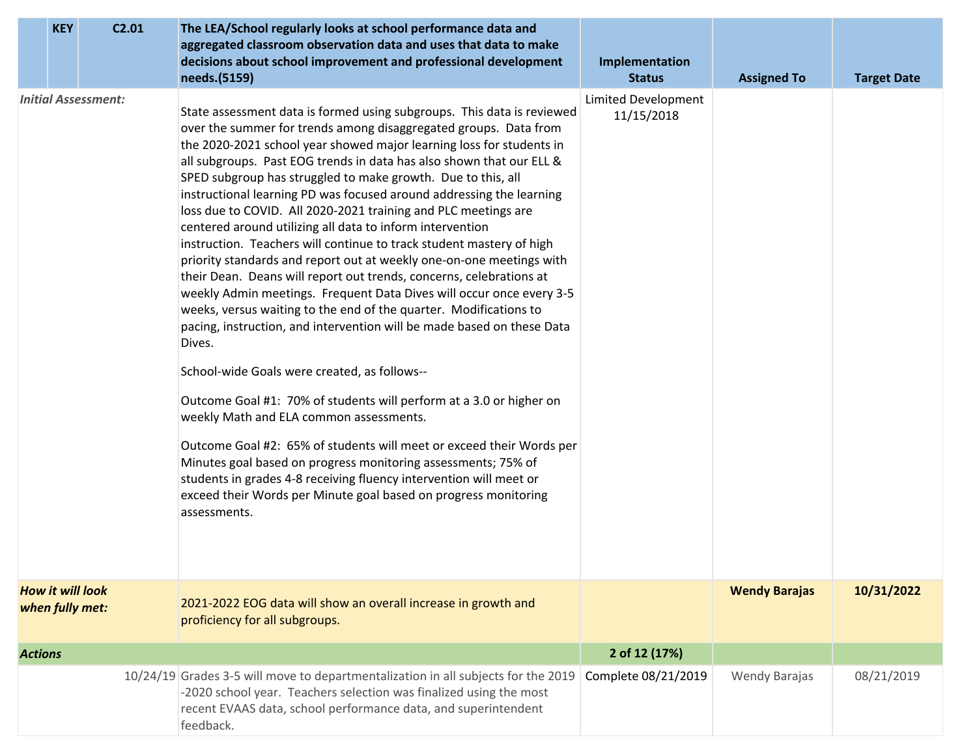| <b>KEY</b>                                 | C <sub>2.01</sub> | The LEA/School regularly looks at school performance data and<br>aggregated classroom observation data and uses that data to make<br>decisions about school improvement and professional development<br>needs.(5159)                                                                                                                                                                                                                                                                                                                                                                                                                                                                                                                                                                                                                                                                                                                                                                                                                                                                                                                                                                                                                                                                                                                                                                                                                                                                          | Implementation<br><b>Status</b>   | <b>Assigned To</b>   | <b>Target Date</b> |
|--------------------------------------------|-------------------|-----------------------------------------------------------------------------------------------------------------------------------------------------------------------------------------------------------------------------------------------------------------------------------------------------------------------------------------------------------------------------------------------------------------------------------------------------------------------------------------------------------------------------------------------------------------------------------------------------------------------------------------------------------------------------------------------------------------------------------------------------------------------------------------------------------------------------------------------------------------------------------------------------------------------------------------------------------------------------------------------------------------------------------------------------------------------------------------------------------------------------------------------------------------------------------------------------------------------------------------------------------------------------------------------------------------------------------------------------------------------------------------------------------------------------------------------------------------------------------------------|-----------------------------------|----------------------|--------------------|
| <b>Initial Assessment:</b>                 |                   | State assessment data is formed using subgroups. This data is reviewed<br>over the summer for trends among disaggregated groups. Data from<br>the 2020-2021 school year showed major learning loss for students in<br>all subgroups. Past EOG trends in data has also shown that our ELL &<br>SPED subgroup has struggled to make growth. Due to this, all<br>instructional learning PD was focused around addressing the learning<br>loss due to COVID. All 2020-2021 training and PLC meetings are<br>centered around utilizing all data to inform intervention<br>instruction. Teachers will continue to track student mastery of high<br>priority standards and report out at weekly one-on-one meetings with<br>their Dean. Deans will report out trends, concerns, celebrations at<br>weekly Admin meetings. Frequent Data Dives will occur once every 3-5<br>weeks, versus waiting to the end of the quarter. Modifications to<br>pacing, instruction, and intervention will be made based on these Data<br>Dives.<br>School-wide Goals were created, as follows--<br>Outcome Goal #1: 70% of students will perform at a 3.0 or higher on<br>weekly Math and ELA common assessments.<br>Outcome Goal #2: 65% of students will meet or exceed their Words per<br>Minutes goal based on progress monitoring assessments; 75% of<br>students in grades 4-8 receiving fluency intervention will meet or<br>exceed their Words per Minute goal based on progress monitoring<br>assessments. | Limited Development<br>11/15/2018 |                      |                    |
| <b>How it will look</b><br>when fully met: |                   | 2021-2022 EOG data will show an overall increase in growth and<br>proficiency for all subgroups.                                                                                                                                                                                                                                                                                                                                                                                                                                                                                                                                                                                                                                                                                                                                                                                                                                                                                                                                                                                                                                                                                                                                                                                                                                                                                                                                                                                              |                                   | <b>Wendy Barajas</b> | 10/31/2022         |
| <b>Actions</b>                             |                   |                                                                                                                                                                                                                                                                                                                                                                                                                                                                                                                                                                                                                                                                                                                                                                                                                                                                                                                                                                                                                                                                                                                                                                                                                                                                                                                                                                                                                                                                                               | 2 of 12 (17%)                     |                      |                    |
|                                            |                   | 10/24/19 Grades 3-5 will move to departmentalization in all subjects for the 2019<br>-2020 school year. Teachers selection was finalized using the most<br>recent EVAAS data, school performance data, and superintendent<br>feedback.                                                                                                                                                                                                                                                                                                                                                                                                                                                                                                                                                                                                                                                                                                                                                                                                                                                                                                                                                                                                                                                                                                                                                                                                                                                        | Complete 08/21/2019               | <b>Wendy Barajas</b> | 08/21/2019         |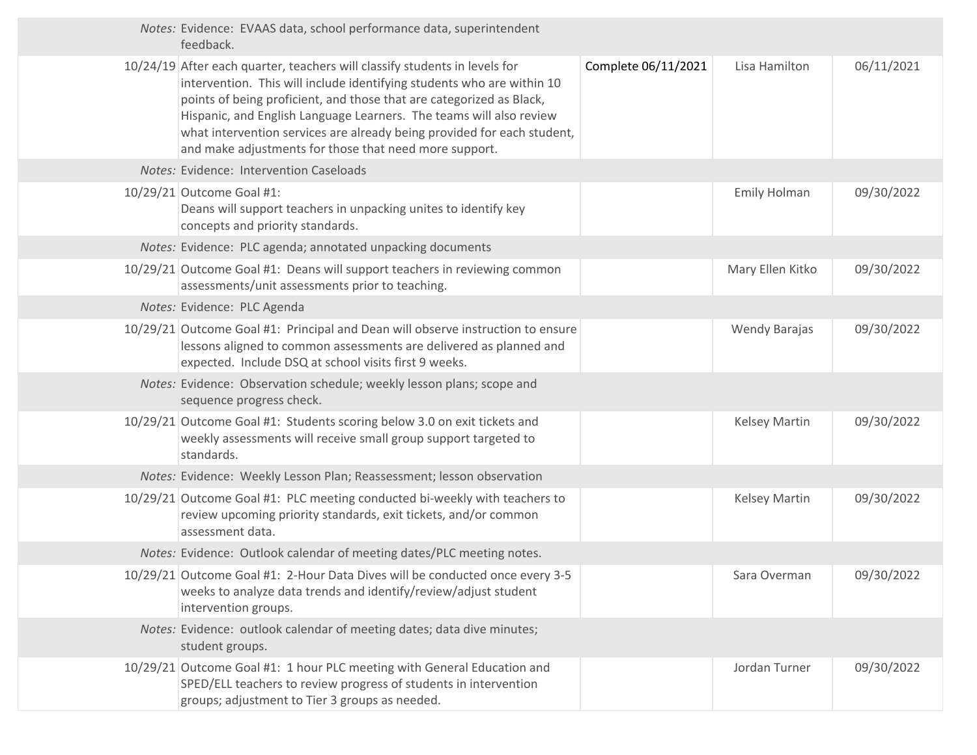|  | Notes: Evidence: EVAAS data, school performance data, superintendent<br>feedback.                                                                                                                                                                                                                                                                                                                                                        |                     |                      |            |
|--|------------------------------------------------------------------------------------------------------------------------------------------------------------------------------------------------------------------------------------------------------------------------------------------------------------------------------------------------------------------------------------------------------------------------------------------|---------------------|----------------------|------------|
|  | 10/24/19 After each quarter, teachers will classify students in levels for<br>intervention. This will include identifying students who are within 10<br>points of being proficient, and those that are categorized as Black,<br>Hispanic, and English Language Learners. The teams will also review<br>what intervention services are already being provided for each student,<br>and make adjustments for those that need more support. | Complete 06/11/2021 | Lisa Hamilton        | 06/11/2021 |
|  | Notes: Evidence: Intervention Caseloads                                                                                                                                                                                                                                                                                                                                                                                                  |                     |                      |            |
|  | 10/29/21 Outcome Goal #1:<br>Deans will support teachers in unpacking unites to identify key<br>concepts and priority standards.                                                                                                                                                                                                                                                                                                         |                     | <b>Emily Holman</b>  | 09/30/2022 |
|  | Notes: Evidence: PLC agenda; annotated unpacking documents                                                                                                                                                                                                                                                                                                                                                                               |                     |                      |            |
|  | 10/29/21 Outcome Goal #1: Deans will support teachers in reviewing common<br>assessments/unit assessments prior to teaching.                                                                                                                                                                                                                                                                                                             |                     | Mary Ellen Kitko     | 09/30/2022 |
|  | Notes: Evidence: PLC Agenda                                                                                                                                                                                                                                                                                                                                                                                                              |                     |                      |            |
|  | 10/29/21 Outcome Goal #1: Principal and Dean will observe instruction to ensure<br>lessons aligned to common assessments are delivered as planned and<br>expected. Include DSQ at school visits first 9 weeks.                                                                                                                                                                                                                           |                     | <b>Wendy Barajas</b> | 09/30/2022 |
|  | Notes: Evidence: Observation schedule; weekly lesson plans; scope and<br>sequence progress check.                                                                                                                                                                                                                                                                                                                                        |                     |                      |            |
|  | 10/29/21 Outcome Goal #1: Students scoring below 3.0 on exit tickets and<br>weekly assessments will receive small group support targeted to<br>standards.                                                                                                                                                                                                                                                                                |                     | <b>Kelsey Martin</b> | 09/30/2022 |
|  | Notes: Evidence: Weekly Lesson Plan; Reassessment; lesson observation                                                                                                                                                                                                                                                                                                                                                                    |                     |                      |            |
|  | 10/29/21 Outcome Goal #1: PLC meeting conducted bi-weekly with teachers to<br>review upcoming priority standards, exit tickets, and/or common<br>assessment data.                                                                                                                                                                                                                                                                        |                     | <b>Kelsey Martin</b> | 09/30/2022 |
|  | Notes: Evidence: Outlook calendar of meeting dates/PLC meeting notes.                                                                                                                                                                                                                                                                                                                                                                    |                     |                      |            |
|  | 10/29/21 Outcome Goal #1: 2-Hour Data Dives will be conducted once every 3-5<br>weeks to analyze data trends and identify/review/adjust student<br>intervention groups.                                                                                                                                                                                                                                                                  |                     | Sara Overman         | 09/30/2022 |
|  | Notes: Evidence: outlook calendar of meeting dates; data dive minutes;<br>student groups.                                                                                                                                                                                                                                                                                                                                                |                     |                      |            |
|  | 10/29/21 Outcome Goal #1: 1 hour PLC meeting with General Education and<br>SPED/ELL teachers to review progress of students in intervention<br>groups; adjustment to Tier 3 groups as needed.                                                                                                                                                                                                                                            |                     | Jordan Turner        | 09/30/2022 |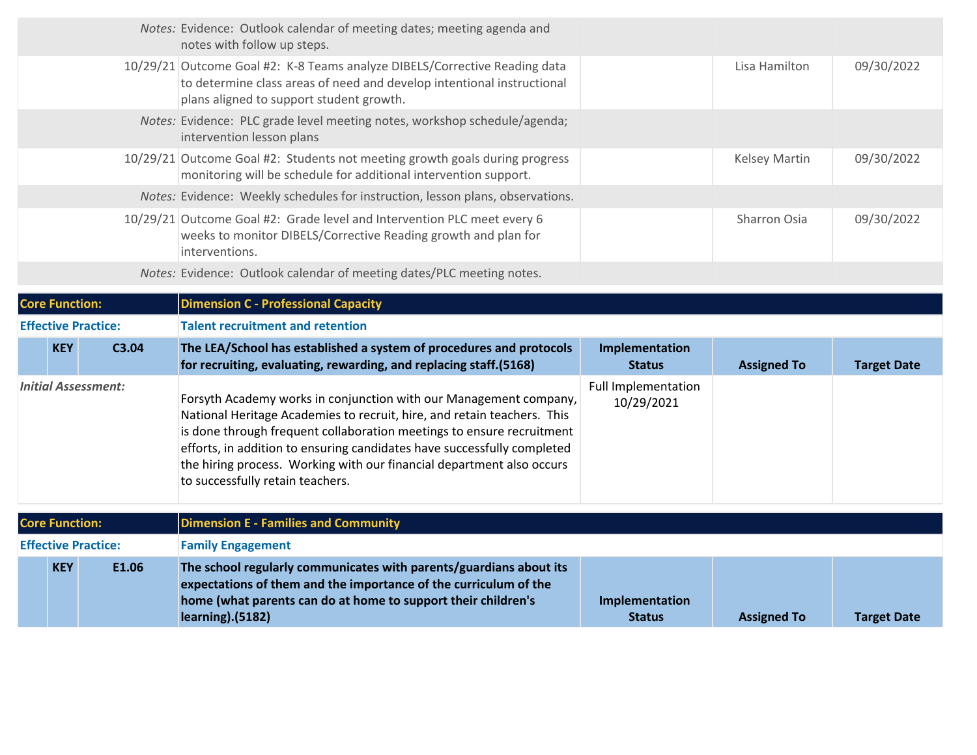|                            | Notes: Evidence: Outlook calendar of meeting dates; meeting agenda and<br>notes with follow up steps.                                                                                                                                                                                                                                                                                                         |                                          |                      |                    |
|----------------------------|---------------------------------------------------------------------------------------------------------------------------------------------------------------------------------------------------------------------------------------------------------------------------------------------------------------------------------------------------------------------------------------------------------------|------------------------------------------|----------------------|--------------------|
|                            | 10/29/21 Outcome Goal #2: K-8 Teams analyze DIBELS/Corrective Reading data<br>to determine class areas of need and develop intentional instructional<br>plans aligned to support student growth.                                                                                                                                                                                                              |                                          | Lisa Hamilton        | 09/30/2022         |
|                            | Notes: Evidence: PLC grade level meeting notes, workshop schedule/agenda;<br>intervention lesson plans                                                                                                                                                                                                                                                                                                        |                                          |                      |                    |
|                            | 10/29/21 Outcome Goal #2: Students not meeting growth goals during progress<br>monitoring will be schedule for additional intervention support.                                                                                                                                                                                                                                                               |                                          | <b>Kelsey Martin</b> | 09/30/2022         |
|                            | Notes: Evidence: Weekly schedules for instruction, lesson plans, observations.                                                                                                                                                                                                                                                                                                                                |                                          |                      |                    |
|                            | 10/29/21 Outcome Goal #2: Grade level and Intervention PLC meet every 6<br>weeks to monitor DIBELS/Corrective Reading growth and plan for<br>interventions.                                                                                                                                                                                                                                                   |                                          | Sharron Osia         | 09/30/2022         |
|                            | Notes: Evidence: Outlook calendar of meeting dates/PLC meeting notes.                                                                                                                                                                                                                                                                                                                                         |                                          |                      |                    |
| <b>Core Function:</b>      | <b>Dimension C - Professional Capacity</b>                                                                                                                                                                                                                                                                                                                                                                    |                                          |                      |                    |
| <b>Effective Practice:</b> | <b>Talent recruitment and retention</b>                                                                                                                                                                                                                                                                                                                                                                       |                                          |                      |                    |
| <b>KEY</b><br>C3.04        | The LEA/School has established a system of procedures and protocols<br>for recruiting, evaluating, rewarding, and replacing staff.(5168)                                                                                                                                                                                                                                                                      | Implementation<br><b>Status</b>          | <b>Assigned To</b>   | <b>Target Date</b> |
| <b>Initial Assessment:</b> | Forsyth Academy works in conjunction with our Management company,<br>National Heritage Academies to recruit, hire, and retain teachers. This<br>is done through frequent collaboration meetings to ensure recruitment<br>efforts, in addition to ensuring candidates have successfully completed<br>the hiring process. Working with our financial department also occurs<br>to successfully retain teachers. | <b>Full Implementation</b><br>10/29/2021 |                      |                    |
| <b>Core Function:</b>      | <b>Dimension E - Families and Community</b>                                                                                                                                                                                                                                                                                                                                                                   |                                          |                      |                    |
| <b>Effective Practice:</b> | <b>Family Engagement</b>                                                                                                                                                                                                                                                                                                                                                                                      |                                          |                      |                    |
| E1.06<br><b>KEY</b>        |                                                                                                                                                                                                                                                                                                                                                                                                               |                                          |                      |                    |